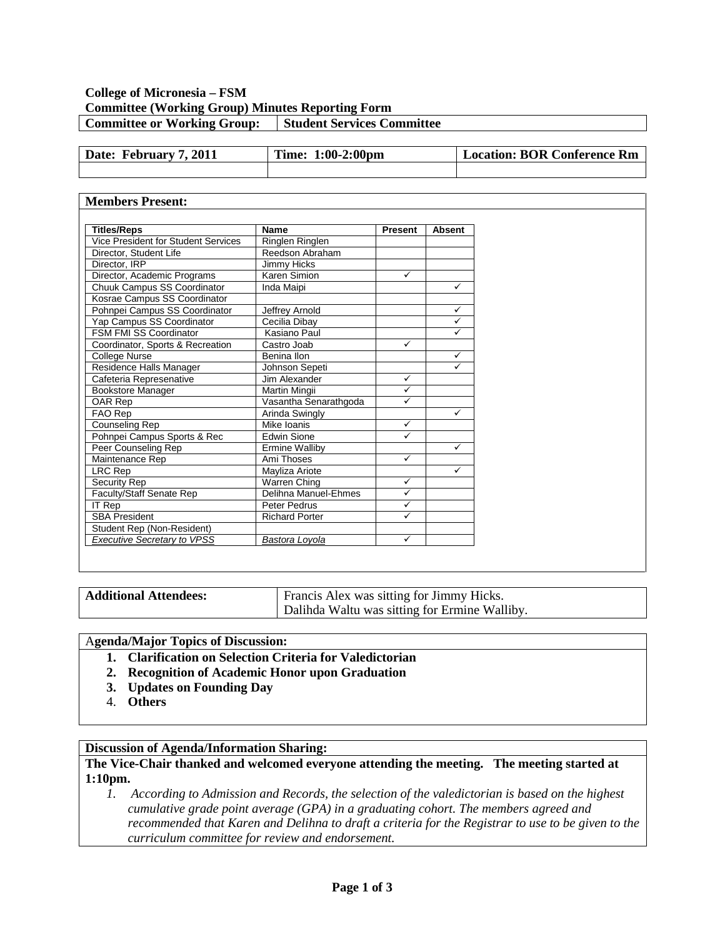### **College of Micronesia – FSM Committee (Working Group) Minutes Reporting Form Committee or Working Group:** Student Services Committee

| Date: February 7, 2011 | Time: 1:00-2:00pm | Location: BOR Conference Rm |
|------------------------|-------------------|-----------------------------|
|                        |                   |                             |

#### **Members Present: Titles/Reps Name Present Absent**<br>Vice President for Student Services Ringlen Ringlen Vice President for Student Services<br>
Director, Student Life Reedson Abraham Director, Student Life Director, IRP Jimmy Hicks Director, Academic Programs Karen Simion V Chuuk Campus SS Coordinator | Inda Maipi |  $\checkmark$ Kosrae Campus SS Coordinator Pohnpei Campus SS Coordinator Jeffrey Arnold<br>
Yap Campus SS Coordinator Cecilia Dibay Yap Campus SS Coordinator Cecilia Dibay FSM FMI SS Coordinator | Kasiano Paul<br>
Coordinator, Sports & Recreation | Castro Joab Coordinator, Sports & Recreation College Nurse Benina Ilon<br>
Residence Halls Manager Benina Ilon Sepeti V Residence Halls Manager Johnson Sepeti<br>Cafeteria Represenative Jim Alexander Cafeteria Represenative Jim Alexander Bookstore Manager Martin Mingii Martin Mingii OAR Rep Vasantha Senarathgoda √<br>
FAO Rep Arinda Swingly Arinda Swingly **Aring Aring Aring Aring Aring Aring Aring Aring Aring Aring Aring Aring Aring Aring Aring Aring Aring Aring Aring Aring Aring Aring Aring Aring Aring Aring Aring Aring Aring Aring Aring Aring Aring Aring Ar** Counseling Rep Mike Ioanis ■ Mike Ioanis Pohnpei Campus Sports & Rec Figure 1 Fedwin Sione Peer Counseling Rep **Ermine Walliby Example 20**  $M$ aintenance Rep  $\blacksquare$  Ami Thoses  $\blacksquare$ LRC Rep Mayliza Ariote Vertex Contract Ariote Vertex Contract Ariote Vertex Contract Ariote Vertex Contract Ariote Vertex Contract Ariote Vertex Contract Ariote Vertex Contract Ariote Vertex Contract Ariote Vertex Contract Warren Ching<br>Delihna Manuel-Ehmes Faculty/Staff Senate Rep Delihna Manuel-Ehmes <u>IT Rep Peter Pedrus V</u><br>SBA President Richard Porter V **Richard Porter** Student Rep (Non-Resident) *Executive Secretary to VPSS Bastora Loyola*

| <b>Additional Attendees:</b> | Francis Alex was sitting for Jimmy Hicks.     |
|------------------------------|-----------------------------------------------|
|                              | Dalihda Waltu was sitting for Ermine Walliby. |

#### A**genda/Major Topics of Discussion:**

- **1. Clarification on Selection Criteria for Valedictorian**
- **2. Recognition of Academic Honor upon Graduation**
- **3. Updates on Founding Day**
- 4. **Others**

#### **Discussion of Agenda/Information Sharing:**

#### **The Vice-Chair thanked and welcomed everyone attending the meeting. The meeting started at 1:10pm.**

*1. According to Admission and Records, the selection of the valedictorian is based on the highest cumulative grade point average (GPA) in a graduating cohort. The members agreed and recommended that Karen and Delihna to draft a criteria for the Registrar to use to be given to the curriculum committee for review and endorsement.*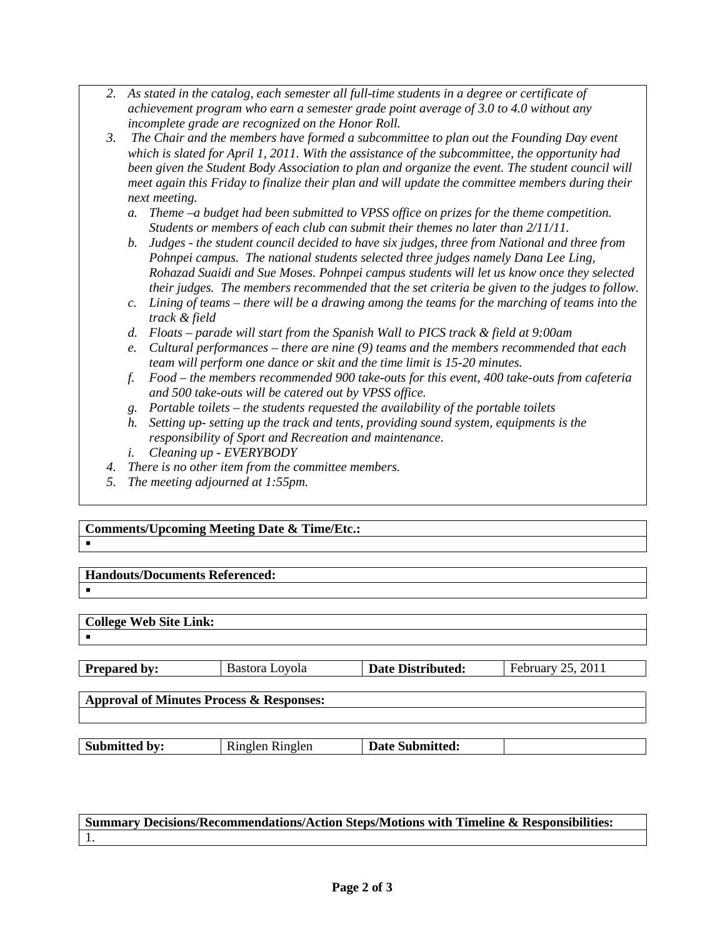- *2. As stated in the catalog, each semester all full-time students in a degree or certificate of achievement program who earn a semester grade point average of 3.0 to 4.0 without any incomplete grade are recognized on the Honor Roll.*
- *3. The Chair and the members have formed a subcommittee to plan out the Founding Day event which is slated for April 1, 2011. With the assistance of the subcommittee, the opportunity had been given the Student Body Association to plan and organize the event. The student council will meet again this Friday to finalize their plan and will update the committee members during their next meeting.*
	- *a. Theme –a budget had been submitted to VPSS office on prizes for the theme competition. Students or members of each club can submit their themes no later than 2/11/11.*
	- *b. Judges - the student council decided to have six judges, three from National and three from Pohnpei campus. The national students selected three judges namely Dana Lee Ling, Rohazad Suaidi and Sue Moses. Pohnpei campus students will let us know once they selected their judges. The members recommended that the set criteria be given to the judges to follow.*
	- *c. Lining of teams – there will be a drawing among the teams for the marching of teams into the track & field*
	- *d. Floats – parade will start from the Spanish Wall to PICS track & field at 9:00am*
	- *e. Cultural performances – there are nine (9) teams and the members recommended that each team will perform one dance or skit and the time limit is 15-20 minutes.*
	- *f. Food – the members recommended 900 take-outs for this event, 400 take-outs from cafeteria and 500 take-outs will be catered out by VPSS office.*
	- *g. Portable toilets – the students requested the availability of the portable toilets*
	- *h. Setting up- setting up the track and tents, providing sound system, equipments is the responsibility of Sport and Recreation and maintenance.*
	- *i. Cleaning up - EVERYBODY*
- *4. There is no other item from the committee members.*
- *5. The meeting adjourned at 1:55pm.*

#### **Comments/Upcoming Meeting Date & Time/Etc.:**  $\blacksquare$

**Handouts/Documents Referenced:**

 $\blacksquare$ 

.

# **College Web Site Link:**

| <b>Prepared by:</b>                                 | Bastora Lovola | <b>Date Distributed:</b> | February 25, 2011 |  |
|-----------------------------------------------------|----------------|--------------------------|-------------------|--|
|                                                     |                |                          |                   |  |
| <b>Approval of Minutes Process &amp; Responses:</b> |                |                          |                   |  |

**Submitted by:** | Ringlen Ringlen | Date Submitted:

## **Summary Decisions/Recommendations/Action Steps/Motions with Timeline & Responsibilities:** 1.